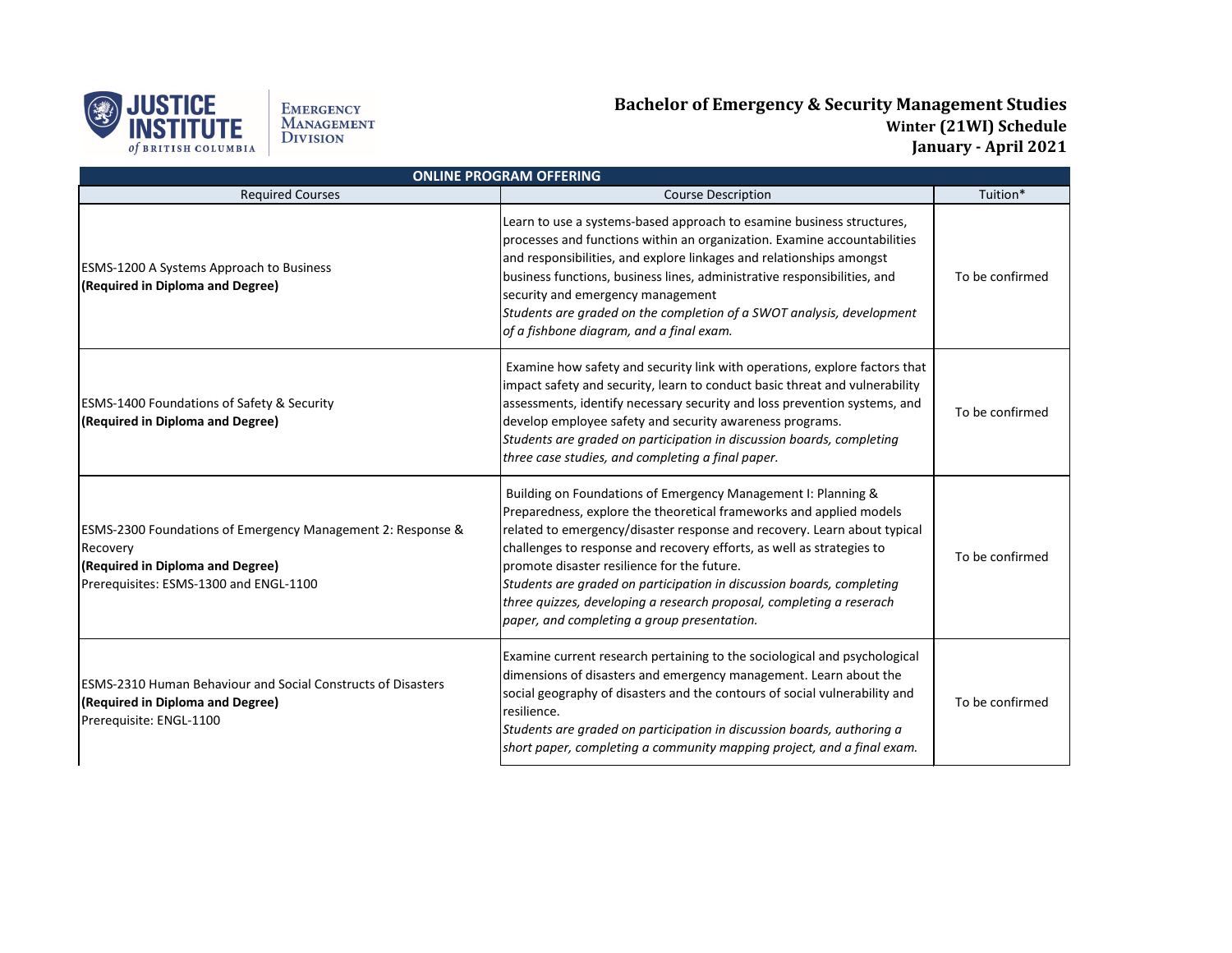

EMERGENCY<br>Management<br>Division

## **Bachelor of Emergency & Security Management Studies Winter (21WI) Schedule January - April 2021**

| <b>ONLINE PROGRAM OFFERING</b>                                                                                                                        |                                                                                                                                                                                                                                                                                                                                                                                                                                                                                                                                          |                 |  |  |
|-------------------------------------------------------------------------------------------------------------------------------------------------------|------------------------------------------------------------------------------------------------------------------------------------------------------------------------------------------------------------------------------------------------------------------------------------------------------------------------------------------------------------------------------------------------------------------------------------------------------------------------------------------------------------------------------------------|-----------------|--|--|
| <b>Required Courses</b>                                                                                                                               | <b>Course Description</b>                                                                                                                                                                                                                                                                                                                                                                                                                                                                                                                | Tuition*        |  |  |
| <b>ESMS-1200 A Systems Approach to Business</b><br>(Required in Diploma and Degree)                                                                   | Learn to use a systems-based approach to esamine business structures,<br>processes and functions within an organization. Examine accountabilities<br>and responsibilities, and explore linkages and relationships amongst<br>business functions, business lines, administrative responsibilities, and<br>security and emergency management<br>Students are graded on the completion of a SWOT analysis, development<br>of a fishbone diagram, and a final exam.                                                                          | To be confirmed |  |  |
| <b>ESMS-1400 Foundations of Safety &amp; Security</b><br>(Required in Diploma and Degree)                                                             | Examine how safety and security link with operations, explore factors that<br>impact safety and security, learn to conduct basic threat and vulnerability<br>assessments, identify necessary security and loss prevention systems, and<br>develop employee safety and security awareness programs.<br>Students are graded on participation in discussion boards, completing<br>three case studies, and completing a final paper.                                                                                                         | To be confirmed |  |  |
| ESMS-2300 Foundations of Emergency Management 2: Response &<br>Recovery<br>(Required in Diploma and Degree)<br>Prerequisites: ESMS-1300 and ENGL-1100 | Building on Foundations of Emergency Management I: Planning &<br>Preparedness, explore the theoretical frameworks and applied models<br>related to emergency/disaster response and recovery. Learn about typical<br>challenges to response and recovery efforts, as well as strategies to<br>promote disaster resilience for the future.<br>Students are graded on participation in discussion boards, completing<br>three quizzes, developing a research proposal, completing a reserach<br>paper, and completing a group presentation. | To be confirmed |  |  |
| <b>ESMS-2310 Human Behaviour and Social Constructs of Disasters</b><br>(Required in Diploma and Degree)<br>Prerequisite: ENGL-1100                    | Examine current research pertaining to the sociological and psychological<br>dimensions of disasters and emergency management. Learn about the<br>social geography of disasters and the contours of social vulnerability and<br>resilience.<br>Students are graded on participation in discussion boards, authoring a<br>short paper, completing a community mapping project, and a final exam.                                                                                                                                          | To be confirmed |  |  |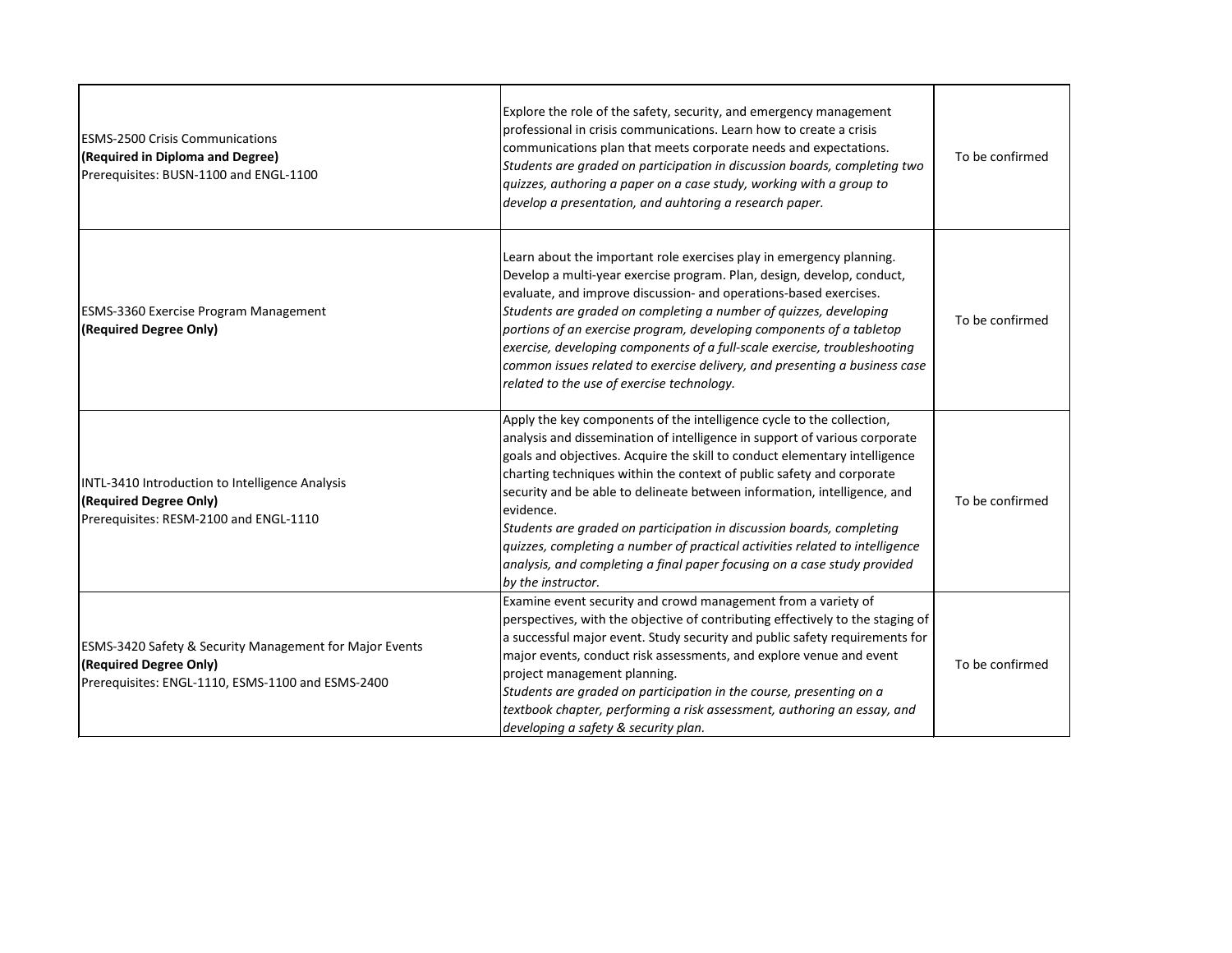| <b>ESMS-2500 Crisis Communications</b><br>(Required in Diploma and Degree)<br>Prerequisites: BUSN-1100 and ENGL-1100                              | Explore the role of the safety, security, and emergency management<br>professional in crisis communications. Learn how to create a crisis<br>communications plan that meets corporate needs and expectations.<br>Students are graded on participation in discussion boards, completing two<br>quizzes, authoring a paper on a case study, working with a group to<br>develop a presentation, and auhtoring a research paper.                                                                                                                                                                                                                                   | To be confirmed |
|---------------------------------------------------------------------------------------------------------------------------------------------------|----------------------------------------------------------------------------------------------------------------------------------------------------------------------------------------------------------------------------------------------------------------------------------------------------------------------------------------------------------------------------------------------------------------------------------------------------------------------------------------------------------------------------------------------------------------------------------------------------------------------------------------------------------------|-----------------|
| <b>ESMS-3360 Exercise Program Management</b><br>(Required Degree Only)                                                                            | Learn about the important role exercises play in emergency planning.<br>Develop a multi-year exercise program. Plan, design, develop, conduct,<br>evaluate, and improve discussion- and operations-based exercises.<br>Students are graded on completing a number of quizzes, developing<br>portions of an exercise program, developing components of a tabletop<br>exercise, developing components of a full-scale exercise, troubleshooting<br>common issues related to exercise delivery, and presenting a business case<br>related to the use of exercise technology.                                                                                      | To be confirmed |
| INTL-3410 Introduction to Intelligence Analysis<br>(Required Degree Only)<br>Prerequisites: RESM-2100 and ENGL-1110                               | Apply the key components of the intelligence cycle to the collection,<br>analysis and dissemination of intelligence in support of various corporate<br>goals and objectives. Acquire the skill to conduct elementary intelligence<br>charting techniques within the context of public safety and corporate<br>security and be able to delineate between information, intelligence, and<br>evidence.<br>Students are graded on participation in discussion boards, completing<br>quizzes, completing a number of practical activities related to intelligence<br>analysis, and completing a final paper focusing on a case study provided<br>by the instructor. | To be confirmed |
| <b>ESMS-3420 Safety &amp; Security Management for Major Events</b><br>(Required Degree Only)<br>Prerequisites: ENGL-1110, ESMS-1100 and ESMS-2400 | Examine event security and crowd management from a variety of<br>perspectives, with the objective of contributing effectively to the staging of<br>a successful major event. Study security and public safety requirements for<br>major events, conduct risk assessments, and explore venue and event<br>project management planning.<br>Students are graded on participation in the course, presenting on a<br>textbook chapter, performing a risk assessment, authoring an essay, and<br>developing a safety & security plan.                                                                                                                                | To be confirmed |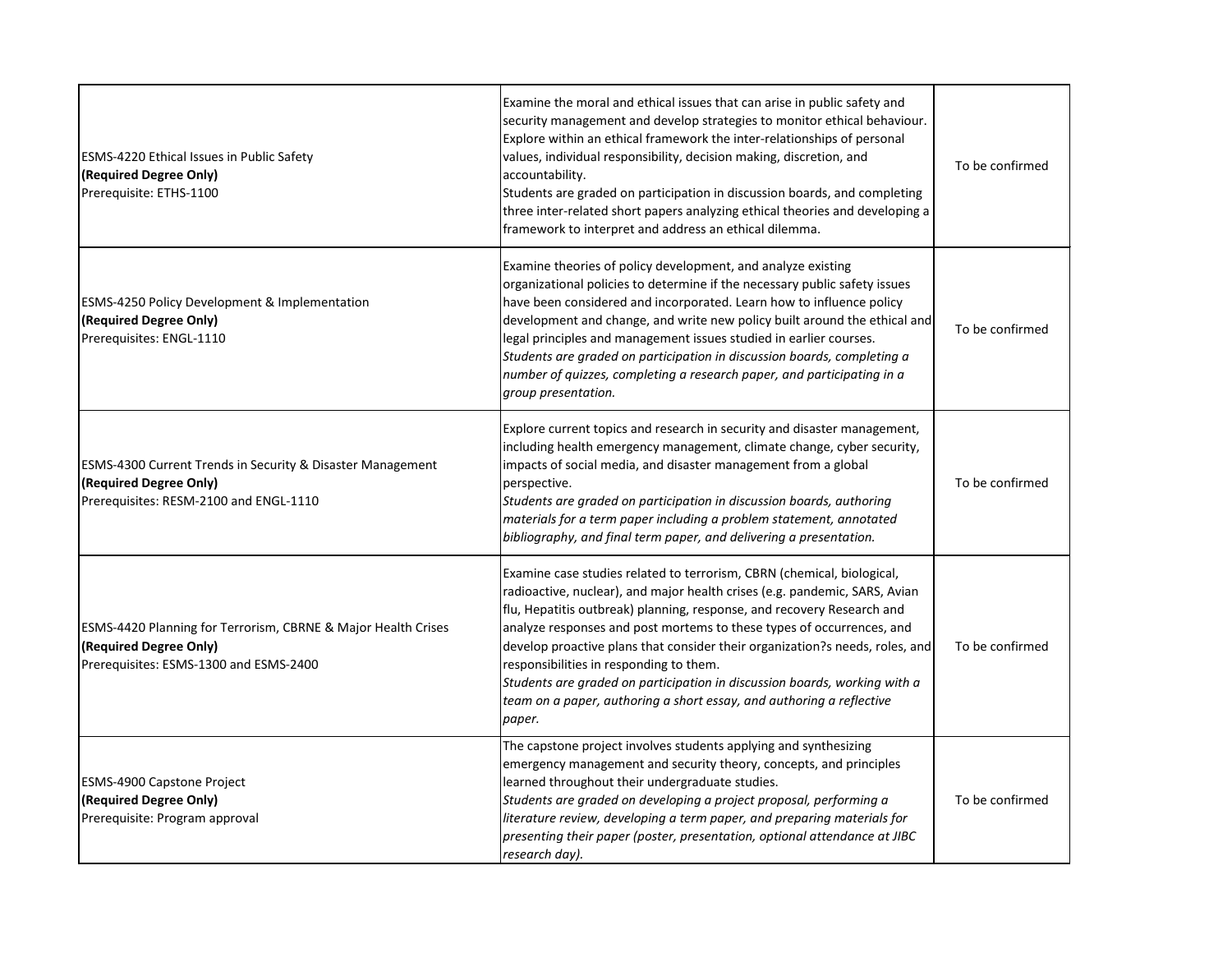| <b>ESMS-4220 Ethical Issues in Public Safety</b><br>(Required Degree Only)<br>Prerequisite: ETHS-1100                                        | Examine the moral and ethical issues that can arise in public safety and<br>security management and develop strategies to monitor ethical behaviour.<br>Explore within an ethical framework the inter-relationships of personal<br>values, individual responsibility, decision making, discretion, and<br>accountability.<br>Students are graded on participation in discussion boards, and completing<br>three inter-related short papers analyzing ethical theories and developing a<br>framework to interpret and address an ethical dilemma.                                                  | To be confirmed |
|----------------------------------------------------------------------------------------------------------------------------------------------|---------------------------------------------------------------------------------------------------------------------------------------------------------------------------------------------------------------------------------------------------------------------------------------------------------------------------------------------------------------------------------------------------------------------------------------------------------------------------------------------------------------------------------------------------------------------------------------------------|-----------------|
| <b>ESMS-4250 Policy Development &amp; Implementation</b><br>(Required Degree Only)<br>Prerequisites: ENGL-1110                               | Examine theories of policy development, and analyze existing<br>organizational policies to determine if the necessary public safety issues<br>have been considered and incorporated. Learn how to influence policy<br>development and change, and write new policy built around the ethical and<br>legal principles and management issues studied in earlier courses.<br>Students are graded on participation in discussion boards, completing a<br>number of quizzes, completing a research paper, and participating in a<br>group presentation.                                                 | To be confirmed |
| <b>ESMS-4300 Current Trends in Security &amp; Disaster Management</b><br>(Required Degree Only)<br>Prerequisites: RESM-2100 and ENGL-1110    | Explore current topics and research in security and disaster management,<br>including health emergency management, climate change, cyber security,<br>impacts of social media, and disaster management from a global<br>perspective.<br>Students are graded on participation in discussion boards, authoring<br>materials for a term paper including a problem statement, annotated<br>bibliography, and final term paper, and delivering a presentation.                                                                                                                                         | To be confirmed |
| <b>ESMS-4420 Planning for Terrorism, CBRNE &amp; Major Health Crises</b><br>(Required Degree Only)<br>Prerequisites: ESMS-1300 and ESMS-2400 | Examine case studies related to terrorism, CBRN (chemical, biological,<br>radioactive, nuclear), and major health crises (e.g. pandemic, SARS, Avian<br>flu, Hepatitis outbreak) planning, response, and recovery Research and<br>analyze responses and post mortems to these types of occurrences, and<br>develop proactive plans that consider their organization?s needs, roles, and<br>responsibilities in responding to them.<br>Students are graded on participation in discussion boards, working with a<br>team on a paper, authoring a short essay, and authoring a reflective<br>paper. | To be confirmed |
| <b>ESMS-4900 Capstone Project</b><br>(Required Degree Only)<br>Prerequisite: Program approval                                                | The capstone project involves students applying and synthesizing<br>emergency management and security theory, concepts, and principles<br>learned throughout their undergraduate studies.<br>Students are graded on developing a project proposal, performing a<br>literature review, developing a term paper, and preparing materials for<br>presenting their paper (poster, presentation, optional attendance at JIBC<br>research day).                                                                                                                                                         | To be confirmed |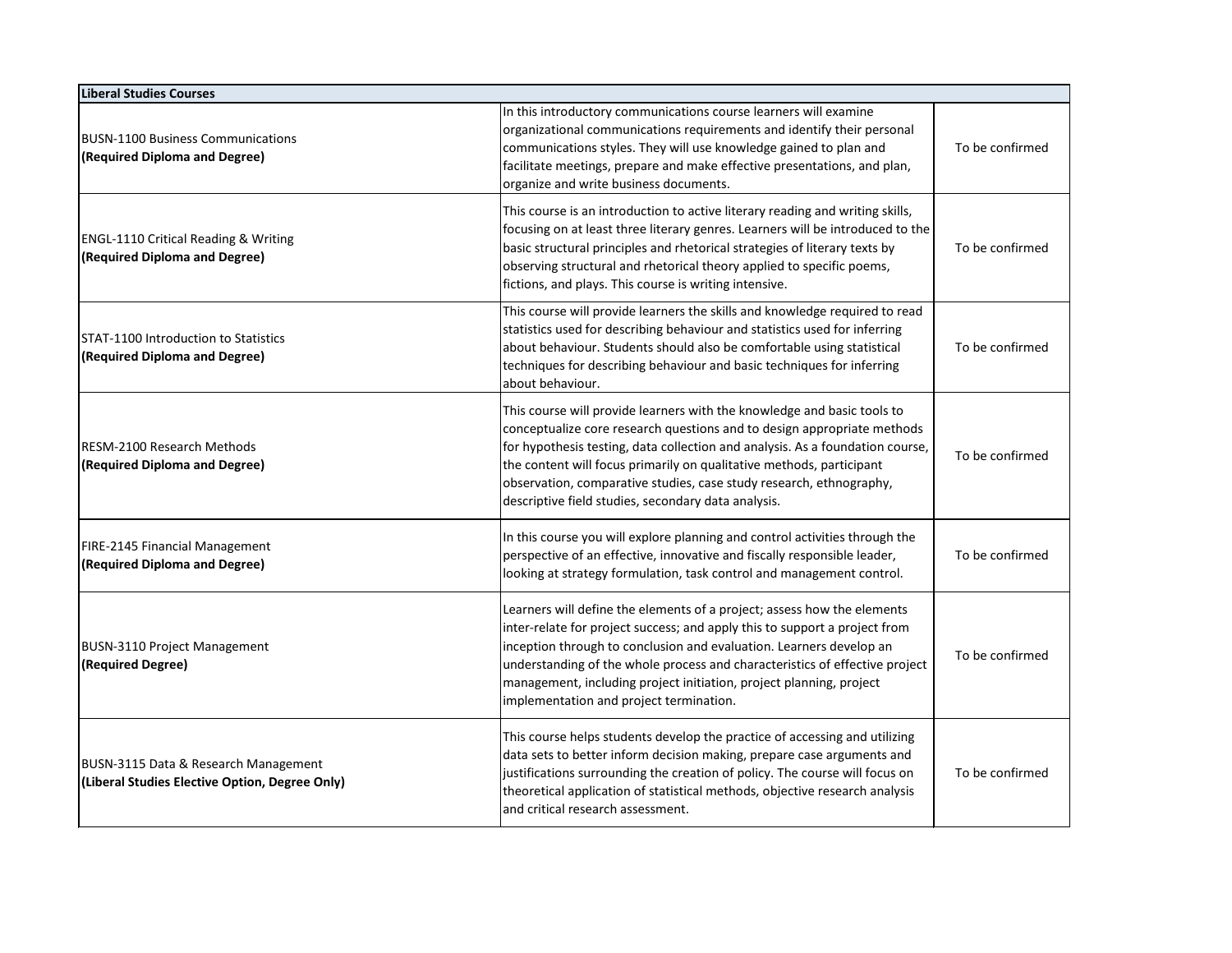| <b>Liberal Studies Courses</b>                                                         |                                                                                                                                                                                                                                                                                                                                                                                                                                           |                 |  |
|----------------------------------------------------------------------------------------|-------------------------------------------------------------------------------------------------------------------------------------------------------------------------------------------------------------------------------------------------------------------------------------------------------------------------------------------------------------------------------------------------------------------------------------------|-----------------|--|
| <b>BUSN-1100 Business Communications</b><br>(Required Diploma and Degree)              | In this introductory communications course learners will examine<br>organizational communications requirements and identify their personal<br>communications styles. They will use knowledge gained to plan and<br>facilitate meetings, prepare and make effective presentations, and plan,<br>organize and write business documents.                                                                                                     | To be confirmed |  |
| <b>ENGL-1110 Critical Reading &amp; Writing</b><br>(Required Diploma and Degree)       | This course is an introduction to active literary reading and writing skills,<br>focusing on at least three literary genres. Learners will be introduced to the<br>basic structural principles and rhetorical strategies of literary texts by<br>observing structural and rhetorical theory applied to specific poems,<br>fictions, and plays. This course is writing intensive.                                                          | To be confirmed |  |
| <b>STAT-1100 Introduction to Statistics</b><br>(Required Diploma and Degree)           | This course will provide learners the skills and knowledge required to read<br>statistics used for describing behaviour and statistics used for inferring<br>about behaviour. Students should also be comfortable using statistical<br>techniques for describing behaviour and basic techniques for inferring<br>about behaviour.                                                                                                         | To be confirmed |  |
| RESM-2100 Research Methods<br>(Required Diploma and Degree)                            | This course will provide learners with the knowledge and basic tools to<br>conceptualize core research questions and to design appropriate methods<br>for hypothesis testing, data collection and analysis. As a foundation course,<br>the content will focus primarily on qualitative methods, participant<br>observation, comparative studies, case study research, ethnography,<br>descriptive field studies, secondary data analysis. | To be confirmed |  |
| FIRE-2145 Financial Management<br>(Required Diploma and Degree)                        | In this course you will explore planning and control activities through the<br>perspective of an effective, innovative and fiscally responsible leader,<br>looking at strategy formulation, task control and management control.                                                                                                                                                                                                          | To be confirmed |  |
| <b>BUSN-3110 Project Management</b><br>(Required Degree)                               | Learners will define the elements of a project; assess how the elements<br>inter-relate for project success; and apply this to support a project from<br>inception through to conclusion and evaluation. Learners develop an<br>understanding of the whole process and characteristics of effective project<br>management, including project initiation, project planning, project<br>implementation and project termination.             | To be confirmed |  |
| BUSN-3115 Data & Research Management<br>(Liberal Studies Elective Option, Degree Only) | This course helps students develop the practice of accessing and utilizing<br>data sets to better inform decision making, prepare case arguments and<br>justifications surrounding the creation of policy. The course will focus on<br>theoretical application of statistical methods, objective research analysis<br>and critical research assessment.                                                                                   | To be confirmed |  |